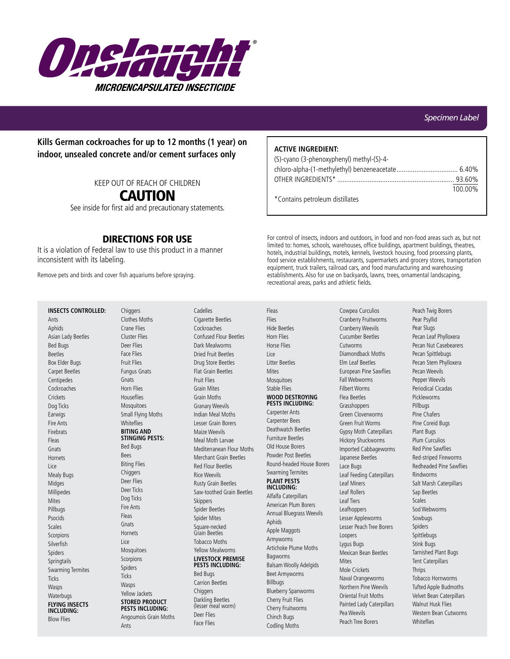

**Kills German cockroaches for up to 12 months (1 year) on indoor, unsealed concrete and/or cement surfaces only**

KEEP OUT OF REACH OF CHILDREN

## CAUTION

See inside for first aid and precautionary statements.

## DIRECTIONS FOR USE

It is a violation of Federal law to use this product in a manner inconsistent with its labeling.

Remove pets and birds and cover fish aquariums before spraying.

## **ACTIVE INGREDIENT:**

| (S)-cyano (3-phenoxyphenyl) methyl-(S)-4- |         |
|-------------------------------------------|---------|
|                                           |         |
|                                           |         |
|                                           | 100.00% |
| *Contains petroleum distillates           |         |

For control of insects, indoors and outdoors, in food and non-food areas such as, but not limited to: homes, schools, warehouses, office buildings, apartment buildings, theatres, hotels, industrial buildings, motels, kennels, livestock housing, food processing plants, food service establishments, restaurants, supermarkets and grocery stores, transportation equipment, truck trailers, railroad cars, and food manufacturing and warehousing establishments. Also for use on backyards, lawns, trees, ornamental landscaping, recreational areas, parks and athletic fields.

# Ants Aphids

**INSECTS CONTROLLED:**

Asian Lady Beetles Bed Bugs Beetles Box Elder Bugs Carpet Beetles Centipedes Cockroaches **Crickets** Dog Ticks Earwigs Fire Ants Firebrats Fleas Gnats Hornets Lice Mealy Bugs Midges Millipedes Mites Pillbugs Psocids Scales Scorpions Silverfich Spiders **Springtails** Swarming Termites Ticks Wasps Waterbugs **FLYING INSECTS INCLUDING:** Blow Flies

**Chiggers** Clothes Moths Crane Flies Cluster Flies Deer Flies Face Flies Fruit Flies Fungus Gnats Gnats Horn Flies **Houseflies** Mosquitoes Small Flying Moths **Whiteflies BITING AND STINGING PESTS:** Bed Bugs Bees Biting Flies **Chiggers** Deer Flies Deer Ticks Dog Ticks Fire Ants Fleas **Gnats Hornets** Lice Mosquitoes Scorpions Spiders Ticks Wasps Yellow Jackets **STORED PRODUCT** 

Cadelles Cigarette Beetles Cockroaches Confused Flour Beetles Dark Mealworms Dried Fruit Beetles Drug Store Beetles Flat Grain Beetles Fruit Flies Grain Mites Grain Moths Granary Weevils Indian Meal Moths Lesser Grain Borers Maize Weevils Meal Moth Larvae Mediterranean Flour Moths Merchant Grain Beetles Red Flour Beetles Rice Weevils Rusty Grain Beetles Saw-toothed Grain Beetles **Skippers** Spider Beetles Spider Mites Square-necked Grain Beetles Tobacco Moths Yellow Mealworms **LIVESTOCK PREMISE PESTS INCLUDING:** Bed Bugs Carrion Beetles **Chiggers** Darkling Beetles (lesser meal worm)

Deer Flies Face Flies

Fleas Flies Hide Beetles Horn Flies Horse Flies Lice Litter Beetles **Mites** Mosquitoes Stable Flies **WOOD DESTROYING PESTS INCLUDING:**

Carpenter Ants Carpenter Bees Deathwatch Beetles Furniture Beetles Old House Borers Powder Post Beetles Round-headed House Borers Swarming Termites **PLANT PESTS INCLUDING:**

Alfalfa Caterpillars American Plum Borers Annual Bluegrass Weevils Aphids Apple Maggots Armyworms Artichoke Plume Moths Bagworms Balsam Woolly Adelgids Beet Armyworms Billbugs Blueberry Spanworms Cherry Fruit Flies Cherry Fruitworms Chinch Bugs Codling Moths

Cowpea Curculios Cranberry Fruitworms Cranberry Weevils Cucumber Beetles Cutworms Diamondback Moths Elm Leaf Beetles European Pine Sawflies Fall Webworms Filbert Worms Flea Beetles Grasshoppers Green Cloverworms Green Fruit Worms Gypsy Moth Caterpillars Hickory Shuckworms Imported Cabbageworms Japanese Beetles Lace Bugs Leaf Feeding Caterpillars Leaf Miners Leaf Rollers Leaf Tiers Leafhoppers Lesser Appleworms Lesser Peach Tree Borers Loopers Lygus Bugs Mexican Bean Beetles **Mites** Mole Crickets Naval Orangeworms Northern Pine Weevils Oriental Fruit Moths Painted Lady Caterpillars Pea Weevils Peach Tree Borers

Peach Twig Borers Pear Psyllid Pear Slugs Pecan Leaf Phylloxera Pecan Nut Casebearers Pecan Spittlebugs Pecan Stem Phylloxera Pecan Weevils Pepper Weevils Periodical Cicadas Pickleworms Pillbugs Pine Chafers Pine Coreid Bugs Plant Bugs Plum Curculios Red Pine Sawflies Red-striped Fireworms Redheaded Pine Sawflies Rindworms Salt Marsh Caterpillars Sap Beetles Scales Sod Webworms Sowbugs Spiders Spittlebugs Stink Bugs Tarnished Plant Bugs Tent Caterpillars **Thrips** Tobacco Hornworms Tufted Apple Budmoths Velvet Bean Caterpillars Walnut Husk Flies Western Bean Cutworms **Whiteflies** 

## **PESTS INCLUDING:**

Angoumois Grain Moths Ants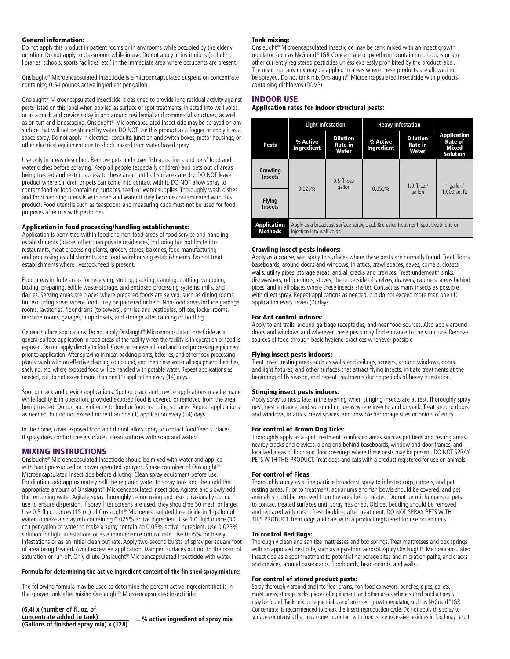#### General information:

Do not apply this product in patient rooms or in any rooms while occupied by the elderly or infirm. Do not apply to classrooms while in use. Do not apply in institutions (including libraries, schools, sports facilities, etc.) in the immediate area where occupants are present.

Onslaught® Microencapsulated Insecticide is a microencapsulated suspension concentrate containing 0.54 pounds active ingredient per gallon.

Onslaught® Microencapsulated Insecticide is designed to provide long residual activity against pests listed on this label when applied as surface or spot treatments, injected into wall voids, or as a crack and crevice spray in and around residential and commercial structures, as well as on turf and landscaping. Onslaught® Microencapsulated Insecticide may be sprayed on any surface that will not be stained by water. DO NOT use this product as a fogger or apply it as a space spray. Do not apply in electrical conduits, junction and switch boxes, motor housings, or other electrical equipment due to shock hazard from water-based spray.

Use only in areas described. Remove pets and cover fish aquariums and pets' food and water dishes before spraying. Keep all people (especially children) and pets out of areas being treated and restrict access to these areas until all surfaces are dry. DO NOT leave product where children or pets can come into contact with it. DO NOT allow spray to contact food or food-containing surfaces, feed, or water supplies. Thoroughly wash dishes and food handling utensils with soap and water if they become contaminated with this product. Food utensils such as teaspoons and measuring cups must not be used for food purposes after use with pesticides.

#### Application in food processing/handling establishments:

Application is permitted within food and non-food areas of food service and handling establishments (places other than private residences) including but not limited to: restaurants, meat processing plants, grocery stores, bakeries, food manufacturing and processing establishments, and food warehousing establishments. Do not treat establishments where livestock feed is present.

Food areas include areas for receiving, storing, packing, canning, bottling, wrapping, boxing, preparing, edible waste storage, and enclosed processing systems, mills, and dairies. Serving areas are places where prepared foods are served, such as dining rooms, but excluding areas where foods may be prepared or held. Non-food areas include garbage rooms, lavatories, floor drains (to sewers), entries and vestibules, offices, locker rooms, machine rooms, garages, mop closets, and storage after canning or bottling.

General surface applications: Do not apply Onslaught® Microencapsulated Insecticide as a general surface application in food areas of the facility when the facility is in operation or food is exposed. Do not apply directly to food. Cover or remove all food and food processing equipment prior to application. After spraying in meat packing plants, bakeries, and other food processing plants, wash with an effective cleaning compound, and then rinse water all equipment, benches, shelving, etc. where exposed food will be handled with potable water. Repeat applications as needed, but do not exceed more than one (1) application every (14) days.

Spot or crack and crevice applications: Spot or crack and crevice applications may be made while facility is in operation, provided exposed food is covered or removed from the area being treated. Do not apply directly to food or food-handling surfaces. Repeat applications as needed, but do not exceed more than one (1) application every (14) days.

In the home, cover exposed food and do not allow spray to contact food/feed surfaces. If spray does contact these surfaces, clean surfaces with soap and water.

## MIXING INSTRUCTIONS

Onslaught® Microencapsulated Insecticide should be mixed with water and applied with hand pressurized or power operated sprayers. Shake container of Onslaught® Microencapsulated Insecticide before diluting. Clean spray equipment before use. For dilution, add approximately half the required water to spray tank and then add the appropriate amount of Onslaught® Microencapsulated Insecticide. Agitate and slowly add the remaining water. Agitate spray thoroughly before using and also occasionally during use to ensure dispersion. If spray filter screens are used, they should be 50 mesh or larger. Use 0.5 fluid ounces (15 cc.) of Onslaught<sup>®</sup> Microencapsulated Insecticide in 1 gallon of water to make a spray mix containing 0.025% active ingredient. Use 1.0 fluid ounce (30 cc.) per gallon of water to make a spray containing 0.05% active ingredient. Use 0.025% solution for light infestations or as a maintenance control rate. Use 0.05% for heavy infestations or as an initial clean out rate. Apply two-second bursts of spray per square foot of area being treated. Avoid excessive application. Dampen surfaces but not to the point of saturation or run-off. Only dilute Onslaught® Microencapsulated Insecticide with water.

#### **Formula for determining the active ingredient content of the finished spray mixture:**

The following formula may be used to determine the percent active ingredient that is in the sprayer tank after mixing Onslaught® Microencapsulated Insecticide:

**(6.4) x (number of fl. oz. of concentrate added to tank) (Gallons of finished spray mix) x (128) = % active ingredient of spray mix**

#### Tank mixing:

Onslaught® Microencapsulated Insecticide may be tank mixed with an insect growth regulator such as NyGuard® IGR Concentrate or pyrethrum-containing products or any other currently registered pesticides unless expressly prohibited by the product label. The resulting tank mix may be applied in areas where these products are allowed to be sprayed. Do not tank mix Onslaught® Microencapsulated Insecticide with products containing dichlorvos (DDVP).

#### INDOOR USE

#### Application rates for indoor structural pests:

|                                      | <b>Light Infestation</b>                                                                                        |                                     | <b>Heavy Infestation</b> |                                     |                                                                  |
|--------------------------------------|-----------------------------------------------------------------------------------------------------------------|-------------------------------------|--------------------------|-------------------------------------|------------------------------------------------------------------|
| Pests                                | % Active<br>Ingredient                                                                                          | <b>Dilution</b><br>Rate in<br>Water | % Active<br>Ingredient   | <b>Dilution</b><br>Rate in<br>Water | <b>Application</b><br><b>Rate of</b><br>Mixed<br><b>Solution</b> |
| Crawling<br><b>Insects</b>           | 0.025%                                                                                                          | $0.5$ fl. oz./<br>gallon            | 0.050%                   | $1.0 \text{ fl.}$ $07$ .<br>gallon  | 1 gallon/<br>1,000 sq. ft.                                       |
| <b>Flying</b><br><b>Insects</b>      |                                                                                                                 |                                     |                          |                                     |                                                                  |
| <b>Application</b><br><b>Methods</b> | Apply as a broadcast surface spray, crack & crevice treatment, spot treatment, or<br>injection into wall voids. |                                     |                          |                                     |                                                                  |

#### Crawling insect pests indoors:

Apply as a coarse, wet spray to surfaces where these pests are normally found. Treat floors, baseboards, around doors and windows, in attics, crawl spaces, eaves, corners, closets, walls, utility pipes, storage areas, and all cracks and crevices. Treat underneath sinks, dishwashers, refrigerators, stoves, the underside of shelves, drawers, cabinets, areas behind pipes, and in all places where these insects shelter. Contact as many insects as possible with direct spray. Repeat applications as needed, but do not exceed more than one (1) application every seven (7) days.

#### For Ant control indoors:

Apply to ant trails, around garbage receptacles, and near food sources. Also apply around doors and windows and wherever these pests may find entrance to the structure. Remove sources of food through basic hygiene practices whenever possible.

#### Flying insect pests indoors:

Treat insect resting areas such as walls and ceilings, screens, around windows, doors, and light fixtures, and other surfaces that attract flying insects. Initiate treatments at the beginning of fly season, and repeat treatments during periods of heavy infestation.

#### Stinging insect pests indoors:

Apply spray to nests late in the evening when stinging insects are at rest. Thoroughly spray nest, nest entrance, and surrounding areas where insects land or walk. Treat around doors and windows, in attics, crawl spaces, and possible harborage sites or points of entry.

#### For control of Brown Dog Ticks:

Thoroughly apply as a spot treatment to infested areas such as pet beds and resting areas, nearby cracks and crevices, along and behind baseboards, window and door frames, and localized areas of floor and floor coverings where these pests may be present. DO NOT SPRAY PETS WITH THIS PRODUCT. Treat dogs and cats with a product registered for use on animals.

#### For control of Fleas:

Thoroughly apply as a fine particle broadcast spray to infested rugs, carpets, and pet resting areas. Prior to treatment, aquariums and fish bowls should be covered, and pet animals should be removed from the area being treated. Do not permit humans or pets to contact treated surfaces until spray has dried. Old pet bedding should be removed and replaced with clean, fresh bedding after treatment. DO NOT SPRAY PETS WITH THIS PRODUCT. Treat dogs and cats with a product registered for use on animals.

#### To control Bed Bugs:

Thoroughly clean and sanitize mattresses and box springs. Treat mattresses and box springs with an approved pesticide, such as a pyrethrin aerosol. Apply Onslaught<sup>®</sup> Microencapsulated Insecticide as a spot treatment to potential harborage sites and migration paths, and cracks and crevices, around baseboards, floorboards, head-boards, and walls.

#### For control of stored product pests:

Spray thoroughly around and into floor drains, non-food conveyors, benches, pipes, pallets, moist areas, storage racks, pieces of equipment, and other areas where stored product pests may be found. Tank-mix or sequential use of an insect growth regulator, such as NyGuard® IGR Concentrate, is recommended to break the insect reproduction cycle. Do not apply this spray to surfaces or utensils that may come in contact with food, since excessive residues in food may result.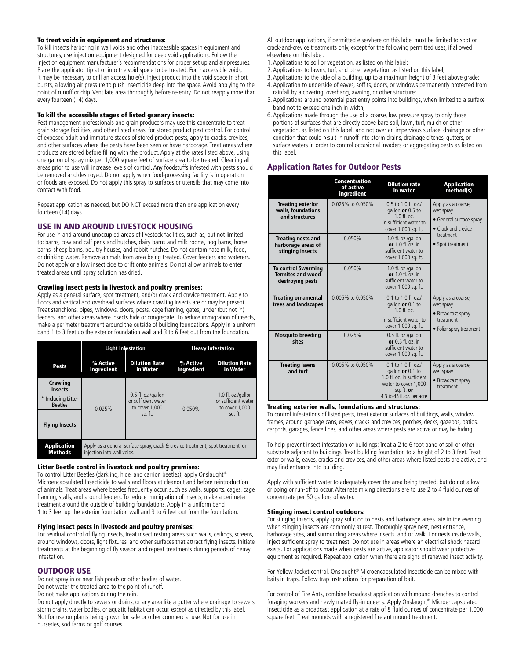#### To treat voids in equipment and structures:

To kill insects harboring in wall voids and other inaccessible spaces in equipment and structures, use injection equipment designed for deep void applications. Follow the injection equipment manufacturer's recommendations for proper set up and air pressures. Place the applicator tip at or into the void space to be treated. For inaccessible voids, it may be necessary to drill an access hole(s). Inject product into the void space in short bursts, allowing air pressure to push insecticide deep into the space. Avoid applying to the point of runoff or drip. Ventilate area thoroughly before re-entry. Do not reapply more than every fourteen (14) days.

#### To kill the accessible stages of listed granary insects:

Pest management professionals and grain producers may use this concentrate to treat grain storage facilities, and other listed areas, for stored product pest control. For control of exposed adult and immature stages of stored product pests, apply to cracks, crevices, and other surfaces where the pests have been seen or have harborage. Treat areas where products are stored before filling with the product. Apply at the rates listed above, using one gallon of spray mix per 1,000 square feet of surface area to be treated. Cleaning all areas prior to use will increase levels of control. Any foodstuffs infested with pests should be removed and destroyed. Do not apply when food-processing facility is in operation or foods are exposed. Do not apply this spray to surfaces or utensils that may come into contact with food.

Repeat application as needed, but DO NOT exceed more than one application every fourteen (14) days.

#### USE IN AND AROUND LIVESTOCK HOUSING

For use in and around unoccupied areas of livestock facilities, such as, but not limited to: barns, cow and calf pens and hutches, dairy barns and milk rooms, hog barns, horse barns, sheep barns, poultry houses, and rabbit hutches. Do not contaminate milk, food, or drinking water. Remove animals from area being treated. Cover feeders and waterers. Do not apply or allow insecticide to drift onto animals. Do not allow animals to enter treated areas until spray solution has dried.

#### Crawling insect pests in livestock and poultry premises:

Apply as a general surface, spot treatment, and/or crack and crevice treatment. Apply to floors and vertical and overhead surfaces where crawling insects are or may be present. Treat stanchions, pipes, windows, doors, posts, cage framing, gates, under (but not in) feeders, and other areas where insects hide or congregate. To reduce immigration of insects, make a perimeter treatment around the outside of building foundations. Apply in a uniform band 1 to 3 feet up the exterior foundation wall and 3 to 6 feet out from the foundation.

|                                      | <b>Light Infestation</b>                                                                                      |                                                             | <b>Heavy Infestation</b> |                                                                        |  |
|--------------------------------------|---------------------------------------------------------------------------------------------------------------|-------------------------------------------------------------|--------------------------|------------------------------------------------------------------------|--|
|                                      |                                                                                                               |                                                             |                          |                                                                        |  |
| Pests                                | % Active<br>Ingredient                                                                                        | <b>Dilution Rate</b><br>in Water                            | % Active<br>Ingredient   | <b>Dilution Rate</b><br>in Water                                       |  |
| Crawling<br><b>Insects</b>           |                                                                                                               | 0.5 fl. oz./gallon<br>or sufficient water<br>to cover 1.000 | 0.050%                   | 1.0 fl. oz./gallon<br>or sufficient water<br>to cover 1.000<br>sq. ft. |  |
| * Including Litter<br><b>Beetles</b> | 0.025%                                                                                                        |                                                             |                          |                                                                        |  |
| <b>Flying Insects</b>                |                                                                                                               | sq. ft.                                                     |                          |                                                                        |  |
| <b>Application</b><br><b>Methods</b> | Apply as a general surface spray, crack & crevice treatment, spot treatment, or<br>injection into wall voids. |                                                             |                          |                                                                        |  |

#### Litter Beetle control in livestock and poultry premises:

To control Litter Beetles (darkling, hide, and carrion beetles), apply Onslaught® Microencapsulated Insecticide to walls and floors at cleanout and before reintroduction of animals. Treat areas where beetles frequently occur, such as walls, supports, cages, cage framing, stalls, and around feeders. To reduce immigration of insects, make a perimeter treatment around the outside of building foundations. Apply in a uniform band 1 to 3 feet up the exterior foundation wall and 3 to 6 feet out from the foundation.

#### Flying insect pests in livestock and poultry premises:

For residual control of flying insects, treat insect resting areas such walls, ceilings, screens, around windows, doors, light fixtures, and other surfaces that attract flying insects. Initiate treatments at the beginning of fly season and repeat treatments during periods of heavy infestation.

## OUTDOOR USE

Do not spray in or near fish ponds or other bodies of water.

- Do not water the treated area to the point of runoff.
- Do not make applications during the rain.

Do not apply directly to sewers or drains, or any area like a gutter where drainage to sewers, storm drains, water bodies, or aquatic habitat can occur, except as directed by this label. Not for use on plants being grown for sale or other commercial use. Not for use in nurseries, sod farms or golf courses.

All outdoor applications, if permitted elsewhere on this label must be limited to spot or crack-and-crevice treatments only, except for the following permitted uses, if allowed elsewhere on this label:

- 1. Applications to soil or vegetation, as listed on this label;
- 2. Applications to lawns, turf, and other vegetation, as listed on this label;
- 3. Applications to the side of a building, up to a maximum height of 3 feet above grade;
- 4. Application to underside of eaves, soffits, doors, or windows permanently protected from rainfall by a covering, overhang, awning, or other structure;
- 5. Applications around potential pest entry points into buildings, when limited to a surface band not to exceed one inch in width;
- 6. Applications made through the use of a coarse, low pressure spray to only those portions of surfaces that are directly above bare soil, lawn, turf, mulch or other vegetation, as listed on this label, and not over an impervious surface, drainage or other condition that could result in runoff into storm drains, drainage ditches, gutters, or surface waters in order to control occasional invaders or aggregating pests as listed on this label.

## Application Rates for Outdoor Pests

|                                                                            | Concentration<br>of active<br>ingredient | <b>Dilution rate</b><br>in water                                                                                                             | <b>Application</b><br>method(s)                                                                                            |  |
|----------------------------------------------------------------------------|------------------------------------------|----------------------------------------------------------------------------------------------------------------------------------------------|----------------------------------------------------------------------------------------------------------------------------|--|
| <b>Treating exterior</b><br>walls, foundations<br>and structures           | 0.025% to 0.050%                         | $0.5$ to 1.0 fl. oz./<br>gallon or 0.5 to<br>$1.0 \text{ fl.}$ $oz.$<br>in sufficient water to<br>cover 1,000 sq. ft.                        | Apply as a coarse,<br>wet spray<br>• General surface spray<br>$\bullet$ Crack and crevice<br>treatment<br>• Spot treatment |  |
| <b>Treating nests and</b><br>harborage areas of<br>stinging insects        | 0.050%                                   | 1.0 fl. oz./gallon<br>or $1.0$ fl. $oz$ , in<br>sufficient water to<br>cover 1,000 sq. ft.                                                   |                                                                                                                            |  |
| <b>To control Swarming</b><br><b>Termites and wood</b><br>destroying pests | 0.050%                                   | 1.0 fl. oz./gallon<br>or $1.0 \text{ fl.}$ $oz \text{ in}$<br>sufficient water to<br>cover 1,000 sq. ft.                                     |                                                                                                                            |  |
| <b>Treating ornamental</b><br>trees and landscapes                         | 0.005% to 0.050%                         | $0.1$ to $1.0$ fl. oz./<br>gallon or 0.1 to<br>$10f$ $0z$<br>in sufficient water to<br>cover 1,000 sq. ft.                                   | Apply as a coarse,<br>wet spray<br>• Broadcast spray<br>treatment<br>• Foliar spray treatment                              |  |
| <b>Mosquito breeding</b><br>sites                                          | 0.025%                                   | 0.5 fl. oz./gallon<br>or $0.5$ fl. $oz$ . in<br>sufficient water to<br>cover 1,000 sq. ft.                                                   |                                                                                                                            |  |
| <b>Treating lawns</b><br>and turf                                          | 0.005% to 0.050%                         | $0.1$ to $1.0$ fl. oz./<br>gallon or 0.1 to<br>1.0 fl. oz. in sufficient<br>water to cover 1,000<br>sg. ft. or<br>4.3 to 43 fl. oz. per acre | Apply as a coarse,<br>wet spray<br>• Broadcast spray<br>treatment                                                          |  |

#### Treating exterior walls, foundations and structures:

To control infestations of listed pests, treat exterior surfaces of buildings, walls, window frames, around garbage cans, eaves, cracks and crevices, porches, decks, gazebos, patios, carports, garages, fence lines, and other areas where pests are active or may be hiding.

To help prevent insect infestation of buildings: Treat a 2 to 6 foot band of soil or other substrate adjacent to buildings. Treat building foundation to a height of 2 to 3 feet. Treat exterior walls, eaves, cracks and crevices, and other areas where listed pests are active, and may find entrance into building.

Apply with sufficient water to adequately cover the area being treated, but do not allow dripping or run-off to occur. Alternate mixing directions are to use 2 to 4 fluid ounces of concentrate per 50 gallons of water.

#### Stinging insect control outdoors:

For stinging insects, apply spray solution to nests and harborage areas late in the evening when stinging insects are commonly at rest. Thoroughly spray nest, nest entrance, harborage sites, and surrounding areas where insects land or walk. For nests inside walls, inject sufficient spray to treat nest. Do not use in areas where an electrical shock hazard exists. For applications made when pests are active, applicator should wear protective equipment as required. Repeat application when there are signs of renewed insect activity.

For Yellow Jacket control, Onslaught® Microencapsulated Insecticide can be mixed with baits in traps. Follow trap instructions for preparation of bait.

For control of Fire Ants, combine broadcast application with mound drenches to control foraging workers and newly mated fly-in queens. Apply Onslaught® Microencapsulated Insecticide as a broadcast application at a rate of 8 fluid ounces of concentrate per 1,000 square feet. Treat mounds with a registered fire ant mound treatment.